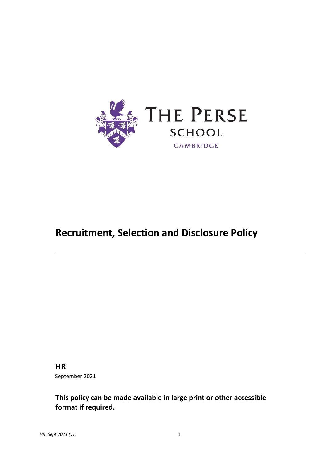

# **Recruitment, Selection and Disclosure Policy**

# **HR**

September 2021

**This policy can be made available in large print or other accessible format if required.**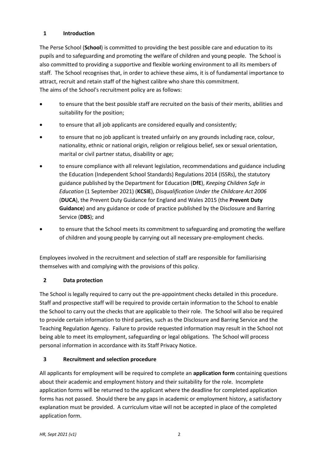# **1 Introduction**

The Perse School (**School**) is committed to providing the best possible care and education to its pupils and to safeguarding and promoting the welfare of children and young people. The School is also committed to providing a supportive and flexible working environment to all its members of staff. The School recognises that, in order to achieve these aims, it is of fundamental importance to attract, recruit and retain staff of the highest calibre who share this commitment. The aims of the School's recruitment policy are as follows:

- to ensure that the best possible staff are recruited on the basis of their merits, abilities and suitability for the position;
- to ensure that all job applicants are considered equally and consistently;
- to ensure that no job applicant is treated unfairly on any grounds including race, colour, nationality, ethnic or national origin, religion or religious belief, sex or sexual orientation, marital or civil partner status, disability or age;
- to ensure compliance with all relevant legislation, recommendations and guidance including the Education (Independent School Standards) Regulations 2014 (ISSRs), the statutory guidance published by the Department for Education (**DfE**), *Keeping Children Safe in Education* (1 September 2021) (**KCSIE**), *Disqualification Under the Childcare Act 2006* (**DUCA**), the Prevent Duty Guidance for England and Wales 2015 (the **Prevent Duty Guidance**) and any guidance or code of practice published by the Disclosure and Barring Service (**DBS**); and
- to ensure that the School meets its commitment to safeguarding and promoting the welfare of children and young people by carrying out all necessary pre-employment checks.

Employees involved in the recruitment and selection of staff are responsible for familiarising themselves with and complying with the provisions of this policy.

# **2 Data protection**

The School is legally required to carry out the pre-appointment checks detailed in this procedure. Staff and prospective staff will be required to provide certain information to the School to enable the School to carry out the checks that are applicable to their role. The School will also be required to provide certain information to third parties, such as the Disclosure and Barring Service and the Teaching Regulation Agency. Failure to provide requested information may result in the School not being able to meet its employment, safeguarding or legal obligations. The School will process personal information in accordance with its Staff Privacy Notice.

# **3 Recruitment and selection procedure**

All applicants for employment will be required to complete an **application form** containing questions about their academic and employment history and their suitability for the role. Incomplete application forms will be returned to the applicant where the deadline for completed application forms has not passed. Should there be any gaps in academic or employment history, a satisfactory explanation must be provided. A curriculum vitae will not be accepted in place of the completed application form.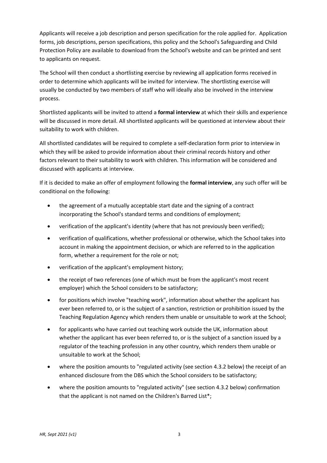Applicants will receive a job description and person specification for the role applied for. Application forms, job descriptions, person specifications, this policy and the School's Safeguarding and Child Protection Policy are available to download from the School's website and can be printed and sent to applicants on request.

The School will then conduct a shortlisting exercise by reviewing all application forms received in order to determine which applicants will be invited for interview. The shortlisting exercise will usually be conducted by two members of staff who will ideally also be involved in the interview process.

Shortlisted applicants will be invited to attend a **formal interview** at which their skills and experience will be discussed in more detail. All shortlisted applicants will be questioned at interview about their suitability to work with children.

All shortlisted candidates will be required to complete a self-declaration form prior to interview in which they will be asked to provide information about their criminal records history and other factors relevant to their suitability to work with children. This information will be considered and discussed with applicants at interview.

If it is decided to make an offer of employment following the **formal interview**, any such offer will be conditional on the following:

- the agreement of a mutually acceptable start date and the signing of a contract incorporating the School's standard terms and conditions of employment;
- verification of the applicant's identity (where that has not previously been verified);
- verification of qualifications, whether professional or otherwise, which the School takes into account in making the appointment decision, or which are referred to in the application form, whether a requirement for the role or not;
- verification of the applicant's employment history;
- the receipt of two references (one of which must be from the applicant's most recent employer) which the School considers to be satisfactory;
- for positions which involve "teaching work", information about whether the applicant has ever been referred to, or is the subject of a sanction, restriction or prohibition issued by the Teaching Regulation Agency which renders them unable or unsuitable to work at the School;
- for applicants who have carried out teaching work outside the UK, information about whether the applicant has ever been referred to, or is the subject of a sanction issued by a regulator of the teaching profession in any other country, which renders them unable or unsuitable to work at the School;
- where the position amounts to "regulated activity (see section 4.3.2 below) the receipt of an enhanced disclosure from the DBS which the School considers to be satisfactory;
- where the position amounts to "regulated activity" (see section 4.3.2 below) confirmation that the applicant is not named on the Children's Barred List\*;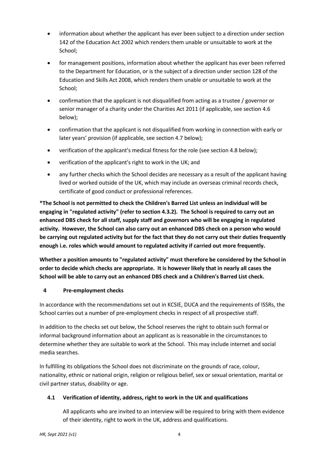- information about whether the applicant has ever been subject to a direction under section 142 of the Education Act 2002 which renders them unable or unsuitable to work at the School;
- for management positions, information about whether the applicant has ever been referred to the Department for Education, or is the subject of a direction under section 128 of the Education and Skills Act 2008, which renders them unable or unsuitable to work at the School;
- confirmation that the applicant is not disqualified from acting as a trustee / governor or senior manager of a charity under the Charities Act 2011 (if applicable, see section 4.6 below);
- confirmation that the applicant is not disqualified from working in connection with early or later years' provision (if applicable, see section 4.7 below);
- verification of the applicant's medical fitness for the role (see section 4.8 below);
- verification of the applicant's right to work in the UK; and
- any further checks which the School decides are necessary as a result of the applicant having lived or worked outside of the UK, which may include an overseas criminal records check, certificate of good conduct or professional references.

**\*The School is not permitted to check the Children's Barred List unless an individual will be engaging in "regulated activity" (refer to section 4.3.2). The School is required to carry out an enhanced DBS check for all staff, supply staff and governors who will be engaging in regulated activity. However, the School can also carry out an enhanced DBS check on a person who would be carrying out regulated activity but for the fact that they do not carry out their duties frequently enough i.e. roles which would amount to regulated activity if carried out more frequently.**

**Whether a position amounts to "regulated activity" must therefore be considered by the School in order to decide which checks are appropriate. It is however likely that in nearly all cases the School will be able to carry out an enhanced DBS check and a Children's Barred List check.**

# **4 Pre-employment checks**

In accordance with the recommendations set out in KCSIE, DUCA and the requirements of ISSRs, the School carries out a number of pre-employment checks in respect of all prospective staff.

In addition to the checks set out below, the School reserves the right to obtain such formal or informal background information about an applicant as is reasonable in the circumstances to determine whether they are suitable to work at the School. This may include internet and social media searches.

In fulfilling its obligations the School does not discriminate on the grounds of race, colour, nationality, ethnic or national origin, religion or religious belief, sex or sexual orientation, marital or civil partner status, disability or age.

# **4.1 Verification of identity, address, right to work in the UK and qualifications**

All applicants who are invited to an interview will be required to bring with them evidence of their identity, right to work in the UK, address and qualifications.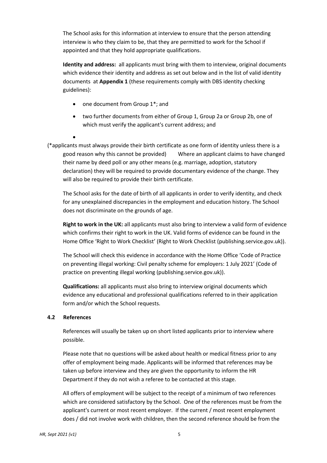The School asks for this information at interview to ensure that the person attending interview is who they claim to be, that they are permitted to work for the School if appointed and that they hold appropriate qualifications.

**Identity and address:** all applicants must bring with them to interview, original documents which evidence their identity and address as set out below and in the list of valid identity documents at **Appendix 1** (these requirements comply with DBS identity checking guidelines):

- one document from Group 1<sup>\*</sup>; and
- two further documents from either of Group 1, Group 2a or Group 2b, one of which must verify the applicant's current address; and
- •

(\*applicants must always provide their birth certificate as one form of identity unless there is a good reason why this cannot be provided) Where an applicant claims to have changed their name by deed poll or any other means (e.g. marriage, adoption, statutory declaration) they will be required to provide documentary evidence of the change. They will also be required to provide their birth certificate.

The School asks for the date of birth of all applicants in order to verify identity, and check for any unexplained discrepancies in the employment and education history. The School does not discriminate on the grounds of age.

**Right to work in the UK:** all applicants must also bring to interview a valid form of evidence which confirms their right to work in the UK. Valid forms of evidence can be found in the Home Office 'Right to Work Checklist' (Right to Work Checklist (publishing.service.gov.uk)).

The School will check this evidence in accordance with the Home Office 'Code of Practice on preventing illegal working: Civil penalty scheme for employers: 1 July 2021' (Code of practice on preventing illegal working (publishing.service.gov.uk)).

**Qualifications:** all applicants must also bring to interview original documents which evidence any educational and professional qualifications referred to in their application form and/or which the School requests.

# **4.2 References**

References will usually be taken up on short listed applicants prior to interview where possible.

Please note that no questions will be asked about health or medical fitness prior to any offer of employment being made. Applicants will be informed that references may be taken up before interview and they are given the opportunity to inform the HR Department if they do not wish a referee to be contacted at this stage.

All offers of employment will be subject to the receipt of a minimum of two references which are considered satisfactory by the School. One of the references must be from the applicant's current or most recent employer. If the current / most recent employment does / did not involve work with children, then the second reference should be from the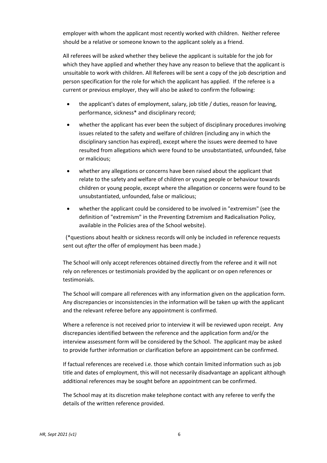employer with whom the applicant most recently worked with children. Neither referee should be a relative or someone known to the applicant solely as a friend.

All referees will be asked whether they believe the applicant is suitable for the job for which they have applied and whether they have any reason to believe that the applicant is unsuitable to work with children. All Referees will be sent a copy of the job description and person specification for the role for which the applicant has applied. If the referee is a current or previous employer, they will also be asked to confirm the following:

- the applicant's dates of employment, salary, job title / duties, reason for leaving, performance, sickness\* and disciplinary record;
- whether the applicant has ever been the subject of disciplinary procedures involving issues related to the safety and welfare of children (including any in which the disciplinary sanction has expired), except where the issues were deemed to have resulted from allegations which were found to be unsubstantiated, unfounded, false or malicious;
- whether any allegations or concerns have been raised about the applicant that relate to the safety and welfare of children or young people or behaviour towards children or young people, except where the allegation or concerns were found to be unsubstantiated, unfounded, false or malicious;
- whether the applicant could be considered to be involved in "extremism" (see the definition of "extremism" in the Preventing Extremism and Radicalisation Policy, available in the Policies area of the School website).

(\*questions about health or sickness records will only be included in reference requests sent out *after* the offer of employment has been made.)

The School will only accept references obtained directly from the referee and it will not rely on references or testimonials provided by the applicant or on open references or testimonials.

The School will compare all references with any information given on the application form. Any discrepancies or inconsistencies in the information will be taken up with the applicant and the relevant referee before any appointment is confirmed.

Where a reference is not received prior to interview it will be reviewed upon receipt. Any discrepancies identified between the reference and the application form and/or the interview assessment form will be considered by the School. The applicant may be asked to provide further information or clarification before an appointment can be confirmed.

If factual references are received i.e. those which contain limited information such as job title and dates of employment, this will not necessarily disadvantage an applicant although additional references may be sought before an appointment can be confirmed.

The School may at its discretion make telephone contact with any referee to verify the details of the written reference provided.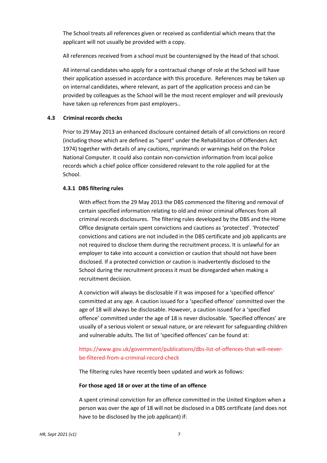The School treats all references given or received as confidential which means that the applicant will not usually be provided with a copy.

All references received from a school must be countersigned by the Head of that school.

All internal candidates who apply for a contractual change of role at the School will have their application assessed in accordance with this procedure. References may be taken up on internal candidates, where relevant, as part of the application process and can be provided by colleagues as the School will be the most recent employer and will previously have taken up references from past employers..

#### **4.3 Criminal records checks**

Prior to 29 May 2013 an enhanced disclosure contained details of all convictions on record (including those which are defined as "spent" under the Rehabilitation of Offenders Act 1974) together with details of any cautions, reprimands or warnings held on the Police National Computer. It could also contain non-conviction information from local police records which a chief police officer considered relevant to the role applied for at the School.

#### **4.3.1 DBS filtering rules**

With effect from the 29 May 2013 the DBS commenced the filtering and removal of certain specified information relating to old and minor criminal offences from all criminal records disclosures. The filtering rules developed by the DBS and the Home Office designate certain spent convictions and cautions as 'protected'. 'Protected' convictions and cations are not included in the DBS certificate and job applicants are not required to disclose them during the recruitment process. It is unlawful for an employer to take into account a conviction or caution that should not have been disclosed. If a protected conviction or caution is inadvertently disclosed to the School during the recruitment process it must be disregarded when making a recruitment decision.

A conviction will always be disclosable if it was imposed for a 'specified offence' committed at any age. A caution issued for a 'specified offence' committed over the age of 18 will always be disclosable. However, a caution issued for a 'specified offence' committed under the age of 18 is never disclosable. 'Specified offences' are usually of a serious violent or sexual nature, or are relevant for safeguarding children and vulnerable adults. The list of 'specified offences' can be found at:

# [https://www.gov.uk/government/publications/dbs-list-of-offences-that-will-never](https://www.gov.uk/government/publications/dbs-list-of-offences-that-will-never-be-filtered-from-a-criminal-record-check)[be-filtered-from-a-criminal-record-check](https://www.gov.uk/government/publications/dbs-list-of-offences-that-will-never-be-filtered-from-a-criminal-record-check)

The filtering rules have recently been updated and work as follows:

#### **For those aged 18 or over at the time of an offence**

A spent criminal conviction for an offence committed in the United Kingdom when a person was over the age of 18 will not be disclosed in a DBS certificate (and does not have to be disclosed by the job applicant) if: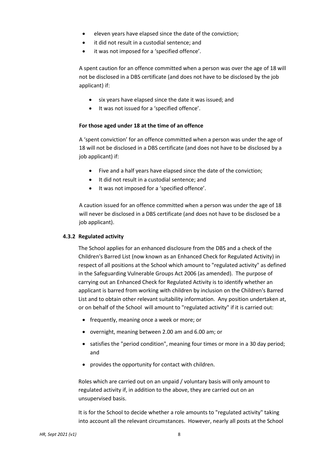- eleven years have elapsed since the date of the conviction;
- it did not result in a custodial sentence; and
- it was not imposed for a 'specified offence'.

A spent caution for an offence committed when a person was over the age of 18 will not be disclosed in a DBS certificate (and does not have to be disclosed by the job applicant) if:

- six years have elapsed since the date it was issued; and
- It was not issued for a 'specified offence'.

# **For those aged under 18 at the time of an offence**

A 'spent conviction' for an offence committed when a person was under the age of 18 will not be disclosed in a DBS certificate (and does not have to be disclosed by a job applicant) if:

- Five and a half years have elapsed since the date of the conviction;
- It did not result in a custodial sentence; and
- It was not imposed for a 'specified offence'.

A caution issued for an offence committed when a person was under the age of 18 will never be disclosed in a DBS certificate (and does not have to be disclosed be a job applicant).

# **4.3.2 Regulated activity**

The School applies for an enhanced disclosure from the DBS and a check of the Children's Barred List (now known as an Enhanced Check for Regulated Activity) in respect of all positions at the School which amount to "regulated activity" as defined in the Safeguarding Vulnerable Groups Act 2006 (as amended). The purpose of carrying out an Enhanced Check for Regulated Activity is to identify whether an applicant is barred from working with children by inclusion on the Children's Barred List and to obtain other relevant suitability information. Any position undertaken at, or on behalf of the School will amount to "regulated activity" if it is carried out:

- frequently, meaning once a week or more; or
- overnight, meaning between 2.00 am and 6.00 am; or
- satisfies the "period condition", meaning four times or more in a 30 day period; and
- provides the opportunity for contact with children.

Roles which are carried out on an unpaid / voluntary basis will only amount to regulated activity if, in addition to the above, they are carried out on an unsupervised basis.

It is for the School to decide whether a role amounts to "regulated activity" taking into account all the relevant circumstances. However, nearly all posts at the School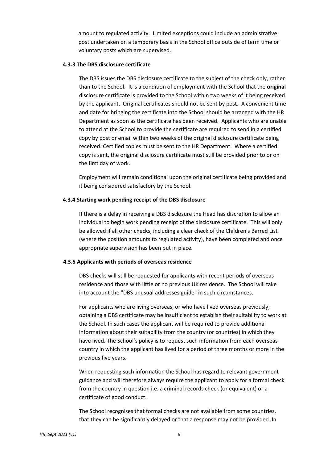amount to regulated activity. Limited exceptions could include an administrative post undertaken on a temporary basis in the School office outside of term time or voluntary posts which are supervised.

#### **4.3.3 The DBS disclosure certificate**

The DBS issues the DBS disclosure certificate to the subject of the check only, rather than to the School. It is a condition of employment with the School that the **original** disclosure certificate is provided to the School within two weeks of it being received by the applicant. Original certificates should not be sent by post. A convenient time and date for bringing the certificate into the School should be arranged with the HR Department as soon as the certificate has been received. Applicants who are unable to attend at the School to provide the certificate are required to send in a certified copy by post or email within two weeks of the original disclosure certificate being received. Certified copies must be sent to the HR Department. Where a certified copy is sent, the original disclosure certificate must still be provided prior to or on the first day of work.

Employment will remain conditional upon the original certificate being provided and it being considered satisfactory by the School.

#### **4.3.4 Starting work pending receipt of the DBS disclosure**

If there is a delay in receiving a DBS disclosure the Head has discretion to allow an individual to begin work pending receipt of the disclosure certificate. This will only be allowed if all other checks, including a clear check of the Children's Barred List (where the position amounts to regulated activity), have been completed and once appropriate supervision has been put in place.

# **4.3.5 Applicants with periods of overseas residence**

DBS checks will still be requested for applicants with recent periods of overseas residence and those with little or no previous UK residence. The School will take into account the "DBS unusual addresses guide" in such circumstances.

For applicants who are living overseas, or who have lived overseas previously, obtaining a DBS certificate may be insufficient to establish their suitability to work at the School. In such cases the applicant will be required to provide additional information about their suitability from the country (or countries) in which they have lived. The School's policy is to request such information from each overseas country in which the applicant has lived for a period of three months or more in the previous five years.

When requesting such information the School has regard to relevant government guidance and will therefore always require the applicant to apply for a formal check from the country in question i.e. a criminal records check (or equivalent) or a certificate of good conduct.

The School recognises that formal checks are not available from some countries, that they can be significantly delayed or that a response may not be provided. In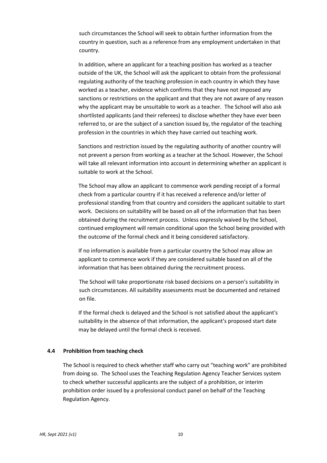such circumstances the School will seek to obtain further information from the country in question, such as a reference from any employment undertaken in that country.

In addition, where an applicant for a teaching position has worked as a teacher outside of the UK, the School will ask the applicant to obtain from the professional regulating authority of the teaching profession in each country in which they have worked as a teacher, evidence which confirms that they have not imposed any sanctions or restrictions on the applicant and that they are not aware of any reason why the applicant may be unsuitable to work as a teacher. The School will also ask shortlisted applicants (and their referees) to disclose whether they have ever been referred to, or are the subject of a sanction issued by, the regulator of the teaching profession in the countries in which they have carried out teaching work.

Sanctions and restriction issued by the regulating authority of another country will not prevent a person from working as a teacher at the School. However, the School will take all relevant information into account in determining whether an applicant is suitable to work at the School.

The School may allow an applicant to commence work pending receipt of a formal check from a particular country if it has received a reference and/or letter of professional standing from that country and considers the applicant suitable to start work. Decisions on suitability will be based on all of the information that has been obtained during the recruitment process. Unless expressly waived by the School, continued employment will remain conditional upon the School being provided with the outcome of the formal check and it being considered satisfactory.

If no information is available from a particular country the School may allow an applicant to commence work if they are considered suitable based on all of the information that has been obtained during the recruitment process.

The School will take proportionate risk based decisions on a person's suitability in such circumstances. All suitability assessments must be documented and retained on file.

If the formal check is delayed and the School is not satisfied about the applicant's suitability in the absence of that information, the applicant's proposed start date may be delayed until the formal check is received.

#### **4.4 Prohibition from teaching check**

The School is required to check whether staff who carry out "teaching work" are prohibited from doing so. The School uses the Teaching Regulation Agency Teacher Services system to check whether successful applicants are the subject of a prohibition, or interim prohibition order issued by a professional conduct panel on behalf of the Teaching Regulation Agency.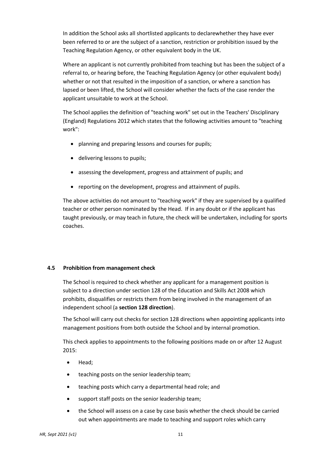In addition the School asks all shortlisted applicants to declarewhether they have ever been referred to or are the subject of a sanction, restriction or prohibition issued by the Teaching Regulation Agency, or other equivalent body in the UK.

Where an applicant is not currently prohibited from teaching but has been the subject of a referral to, or hearing before, the Teaching Regulation Agency (or other equivalent body) whether or not that resulted in the imposition of a sanction, or where a sanction has lapsed or been lifted, the School will consider whether the facts of the case render the applicant unsuitable to work at the School.

The School applies the definition of "teaching work" set out in the Teachers' Disciplinary (England) Regulations 2012 which states that the following activities amount to "teaching work":

- planning and preparing lessons and courses for pupils;
- delivering lessons to pupils;
- assessing the development, progress and attainment of pupils; and
- reporting on the development, progress and attainment of pupils.

The above activities do not amount to "teaching work" if they are supervised by a qualified teacher or other person nominated by the Head. If in any doubt or if the applicant has taught previously, or may teach in future, the check will be undertaken, including for sports coaches.

# **4.5 Prohibition from management check**

The School is required to check whether any applicant for a management position is subject to a direction under section 128 of the Education and Skills Act 2008 which prohibits, disqualifies or restricts them from being involved in the management of an independent school (a **section 128 direction**).

The School will carry out checks for section 128 directions when appointing applicants into management positions from both outside the School and by internal promotion.

This check applies to appointments to the following positions made on or after 12 August 2015:

- Head;
- teaching posts on the senior leadership team;
- teaching posts which carry a departmental head role; and
- support staff posts on the senior leadership team;
- the School will assess on a case by case basis whether the check should be carried out when appointments are made to teaching and support roles which carry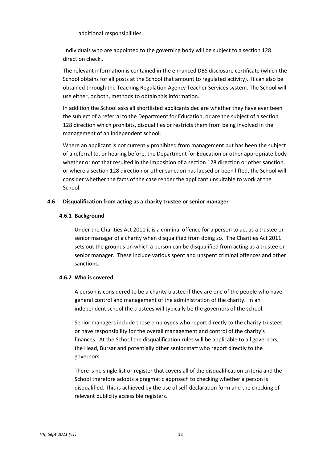additional responsibilities.

Individuals who are appointed to the governing body will be subject to a section 128 direction check..

The relevant information is contained in the enhanced DBS disclosure certificate (which the School obtains for all posts at the School that amount to regulated activity). It can also be obtained through the Teaching Regulation Agency Teacher Services system. The School will use either, or both, methods to obtain this information.

In addition the School asks all shortlisted applicants declare whether they have ever been the subject of a referral to the Department for Education, or are the subject of a section 128 direction which prohibits, disqualifies or restricts them from being involved in the management of an independent school.

Where an applicant is not currently prohibited from management but has been the subject of a referral to, or hearing before, the Department for Education or other appropriate body whether or not that resulted in the imposition of a section 128 direction or other sanction, or where a section 128 direction or other sanction has lapsed or been lifted, the School will consider whether the facts of the case render the applicant unsuitable to work at the School.

# **4.6 Disqualification from acting as a charity trustee or senior manager**

#### **4.6.1 Background**

Under the Charities Act 2011 it is a criminal offence for a person to act as a trustee or senior manager of a charity when disqualified from doing so. The Charities Act 2011 sets out the grounds on which a person can be disqualified from acting as a trustee or senior manager. These include various spent and unspent criminal offences and other sanctions.

#### **4.6.2 Who is covered**

A person is considered to be a charity trustee if they are one of the people who have general control and management of the administration of the charity. In an independent school the trustees will typically be the governors of the school.

Senior managers include those employees who report directly to the charity trustees or have responsibility for the overall management and control of the charity's finances. At the School the disqualification rules will be applicable to all governors, the Head, Bursar and potentially other senior staff who report directly to the governors.

There is no single list or register that covers all of the disqualification criteria and the School therefore adopts a pragmatic approach to checking whether a person is disqualified. This is achieved by the use of self-declaration form and the checking of relevant publicity accessible registers.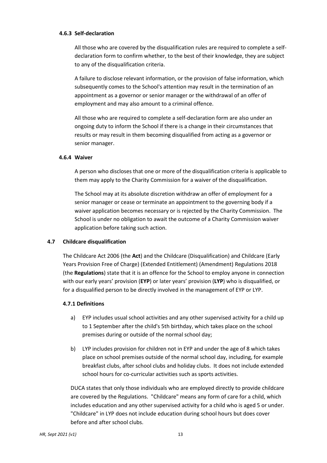#### **4.6.3 Self-declaration**

All those who are covered by the disqualification rules are required to complete a selfdeclaration form to confirm whether, to the best of their knowledge, they are subject to any of the disqualification criteria.

A failure to disclose relevant information, or the provision of false information, which subsequently comes to the School's attention may result in the termination of an appointment as a governor or senior manager or the withdrawal of an offer of employment and may also amount to a criminal offence.

All those who are required to complete a self-declaration form are also under an ongoing duty to inform the School if there is a change in their circumstances that results or may result in them becoming disqualified from acting as a governor or senior manager.

#### **4.6.4 Waiver**

A person who discloses that one or more of the disqualification criteria is applicable to them may apply to the Charity Commission for a waiver of the disqualification.

The School may at its absolute discretion withdraw an offer of employment for a senior manager or cease or terminate an appointment to the governing body if a waiver application becomes necessary or is rejected by the Charity Commission. The School is under no obligation to await the outcome of a Charity Commission waiver application before taking such action.

#### **4.7 Childcare disqualification**

The Childcare Act 2006 (the **Act**) and the Childcare (Disqualification) and Childcare (Early Years Provision Free of Charge) (Extended Entitlement) (Amendment) Regulations 2018 (the **Regulations**) state that it is an offence for the School to employ anyone in connection with our early years' provision (**EYP**) or later years' provision (**LYP**) who is disqualified, or for a disqualified person to be directly involved in the management of EYP or LYP.

#### **4.7.1 Definitions**

- a) EYP includes usual school activities and any other supervised activity for a child up to 1 September after the child's 5th birthday, which takes place on the school premises during or outside of the normal school day;
- b) LYP includes provision for children not in EYP and under the age of 8 which takes place on school premises outside of the normal school day, including, for example breakfast clubs, after school clubs and holiday clubs. It does not include extended school hours for co-curricular activities such as sports activities.

DUCA states that only those individuals who are employed directly to provide childcare are covered by the Regulations. "Childcare" means any form of care for a child, which includes education and any other supervised activity for a child who is aged 5 or under. "Childcare" in LYP does not include education during school hours but does cover before and after school clubs.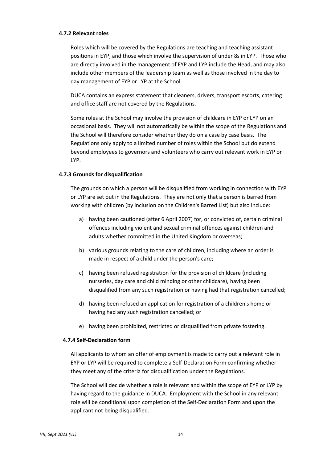# **4.7.2 Relevant roles**

Roles which will be covered by the Regulations are teaching and teaching assistant positions in EYP, and those which involve the supervision of under 8s in LYP. Those who are directly involved in the management of EYP and LYP include the Head, and may also include other members of the leadership team as well as those involved in the day to day management of EYP or LYP at the School.

DUCA contains an express statement that cleaners, drivers, transport escorts, catering and office staff are not covered by the Regulations.

Some roles at the School may involve the provision of childcare in EYP or LYP on an occasional basis. They will not automatically be within the scope of the Regulations and the School will therefore consider whether they do on a case by case basis. The Regulations only apply to a limited number of roles within the School but do extend beyond employees to governors and volunteers who carry out relevant work in EYP or LYP.

#### **4.7.3 Grounds for disqualification**

The grounds on which a person will be disqualified from working in connection with EYP or LYP are set out in the Regulations. They are not only that a person is barred from working with children (by inclusion on the Children's Barred List) but also include:

- a) having been cautioned (after 6 April 2007) for, or convicted of, certain criminal offences including violent and sexual criminal offences against children and adults whether committed in the United Kingdom or overseas;
- b) various grounds relating to the care of children, including where an order is made in respect of a child under the person's care;
- c) having been refused registration for the provision of childcare (including nurseries, day care and child minding or other childcare), having been disqualified from any such registration or having had that registration cancelled;
- d) having been refused an application for registration of a children's home or having had any such registration cancelled; or
- e) having been prohibited, restricted or disqualified from private fostering.

# **4.7.4 Self-Declaration form**

All applicants to whom an offer of employment is made to carry out a relevant role in EYP or LYP will be required to complete a Self-Declaration Form confirming whether they meet any of the criteria for disqualification under the Regulations.

The School will decide whether a role is relevant and within the scope of EYP or LYP by having regard to the guidance in DUCA. Employment with the School in any relevant role will be conditional upon completion of the Self-Declaration Form and upon the applicant not being disqualified.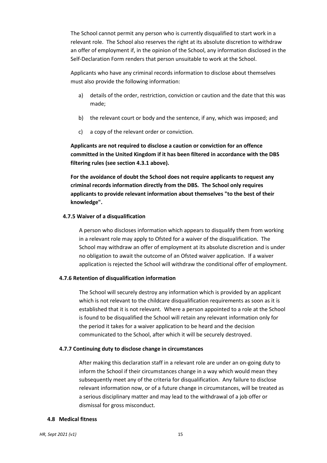The School cannot permit any person who is currently disqualified to start work in a relevant role. The School also reserves the right at its absolute discretion to withdraw an offer of employment if, in the opinion of the School, any information disclosed in the Self-Declaration Form renders that person unsuitable to work at the School.

Applicants who have any criminal records information to disclose about themselves must also provide the following information:

- a) details of the order, restriction, conviction or caution and the date that this was made;
- b) the relevant court or body and the sentence, if any, which was imposed; and
- c) a copy of the relevant order or conviction.

**Applicants are not required to disclose a caution or conviction for an offence committed in the United Kingdom if it has been filtered in accordance with the DBS filtering rules (see section 4.3.1 above).**

**For the avoidance of doubt the School does not require applicants to request any criminal records information directly from the DBS. The School only requires applicants to provide relevant information about themselves "to the best of their knowledge".** 

# **4.7.5 Waiver of a disqualification**

A person who discloses information which appears to disqualify them from working in a relevant role may apply to Ofsted for a waiver of the disqualification. The School may withdraw an offer of employment at its absolute discretion and is under no obligation to await the outcome of an Ofsted waiver application. If a waiver application is rejected the School will withdraw the conditional offer of employment.

# **4.7.6 Retention of disqualification information**

The School will securely destroy any information which is provided by an applicant which is not relevant to the childcare disqualification requirements as soon as it is established that it is not relevant. Where a person appointed to a role at the School is found to be disqualified the School will retain any relevant information only for the period it takes for a waiver application to be heard and the decision communicated to the School, after which it will be securely destroyed.

# **4.7.7 Continuing duty to disclose change in circumstances**

After making this declaration staff in a relevant role are under an on-going duty to inform the School if their circumstances change in a way which would mean they subsequently meet any of the criteria for disqualification. Any failure to disclose relevant information now, or of a future change in circumstances, will be treated as a serious disciplinary matter and may lead to the withdrawal of a job offer or dismissal for gross misconduct.

# **4.8 Medical fitness**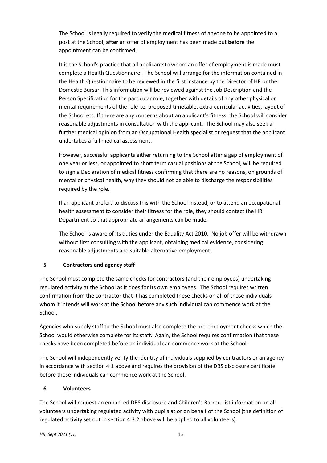The School is legally required to verify the medical fitness of anyone to be appointed to a post at the School, **after** an offer of employment has been made but **before** the appointment can be confirmed.

It is the School's practice that all applicantsto whom an offer of employment is made must complete a Health Questionnaire. The School will arrange for the information contained in the Health Questionnaire to be reviewed in the first instance by the Director of HR or the Domestic Bursar. This information will be reviewed against the Job Description and the Person Specification for the particular role, together with details of any other physical or mental requirements of the role i.e. proposed timetable, extra-curricular activities, layout of the School etc. If there are any concerns about an applicant's fitness, the School will consider reasonable adjustments in consultation with the applicant. The School may also seek a further medical opinion from an Occupational Health specialist or request that the applicant undertakes a full medical assessment.

However, successful applicants either returning to the School after a gap of employment of one year or less, or appointed to short term casual positions at the School, will be required to sign a Declaration of medical fitness confirming that there are no reasons, on grounds of mental or physical health, why they should not be able to discharge the responsibilities required by the role.

If an applicant prefers to discuss this with the School instead, or to attend an occupational health assessment to consider their fitness for the role, they should contact the HR Department so that appropriate arrangements can be made.

The School is aware of its duties under the Equality Act 2010. No job offer will be withdrawn without first consulting with the applicant, obtaining medical evidence, considering reasonable adjustments and suitable alternative employment.

# **5 Contractors and agency staff**

The School must complete the same checks for contractors (and their employees) undertaking regulated activity at the School as it does for its own employees. The School requires written confirmation from the contractor that it has completed these checks on all of those individuals whom it intends will work at the School before any such individual can commence work at the School.

Agencies who supply staff to the School must also complete the pre-employment checks which the School would otherwise complete for its staff. Again, the School requires confirmation that these checks have been completed before an individual can commence work at the School.

The School will independently verify the identity of individuals supplied by contractors or an agency in accordance with section 4.1 above and requires the provision of the DBS disclosure certificate before those individuals can commence work at the School.

# **6 Volunteers**

The School will request an enhanced DBS disclosure and Children's Barred List information on all volunteers undertaking regulated activity with pupils at or on behalf of the School (the definition of regulated activity set out in section 4.3.2 above will be applied to all volunteers).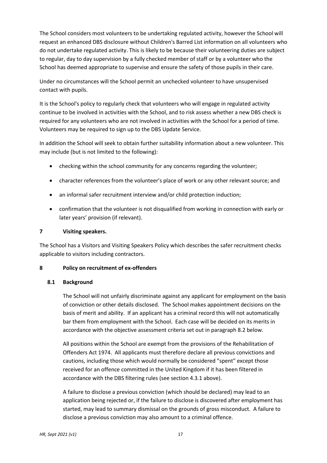The School considers most volunteers to be undertaking regulated activity, however the School will request an enhanced DBS disclosure without Children's Barred List information on all volunteers who do not undertake regulated activity. This is likely to be because their volunteering duties are subject to regular, day to day supervision by a fully checked member of staff or by a volunteer who the School has deemed appropriate to supervise and ensure the safety of those pupils in their care.

Under no circumstances will the School permit an unchecked volunteer to have unsupervised contact with pupils.

It is the School's policy to regularly check that volunteers who will engage in regulated activity continue to be involved in activities with the School, and to risk assess whether a new DBS check is required for any volunteers who are not involved in activities with the School for a period of time. Volunteers may be required to sign up to the DBS Update Service.

In addition the School will seek to obtain further suitability information about a new volunteer. This may include (but is not limited to the following):

- checking within the school community for any concerns regarding the volunteer;
- character references from the volunteer's place of work or any other relevant source; and
- an informal safer recruitment interview and/or child protection induction;
- confirmation that the volunteer is not disqualified from working in connection with early or later years' provision (if relevant).

# **7 Visiting speakers.**

The School has a Visitors and Visiting Speakers Policy which describes the safer recruitment checks applicable to visitors including contractors.

# **8 Policy on recruitment of ex-offenders**

# **8.1 Background**

The School will not unfairly discriminate against any applicant for employment on the basis of conviction or other details disclosed. The School makes appointment decisions on the basis of merit and ability. If an applicant has a criminal record this will not automatically bar them from employment with the School. Each case will be decided on its merits in accordance with the objective assessment criteria set out in paragraph 8.2 below.

All positions within the School are exempt from the provisions of the Rehabilitation of Offenders Act 1974. All applicants must therefore declare all previous convictions and cautions, including those which would normally be considered "spent" except those received for an offence committed in the United Kingdom if it has been filtered in accordance with the DBS filtering rules (see section 4.3.1 above).

A failure to disclose a previous conviction (which should be declared) may lead to an application being rejected or, if the failure to disclose is discovered after employment has started, may lead to summary dismissal on the grounds of gross misconduct. A failure to disclose a previous conviction may also amount to a criminal offence.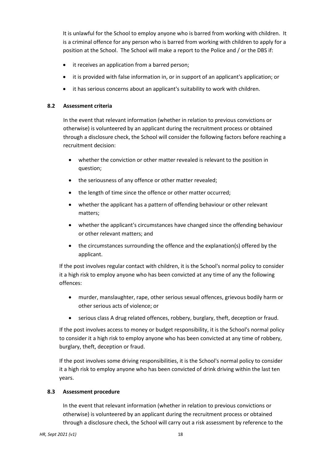It is unlawful for the School to employ anyone who is barred from working with children. It is a criminal offence for any person who is barred from working with children to apply for a position at the School. The School will make a report to the Police and / or the DBS if:

- it receives an application from a barred person;
- it is provided with false information in, or in support of an applicant's application; or
- it has serious concerns about an applicant's suitability to work with children.

# **8.2 Assessment criteria**

In the event that relevant information (whether in relation to previous convictions or otherwise) is volunteered by an applicant during the recruitment process or obtained through a disclosure check, the School will consider the following factors before reaching a recruitment decision:

- whether the conviction or other matter revealed is relevant to the position in question;
- the seriousness of any offence or other matter revealed;
- the length of time since the offence or other matter occurred;
- whether the applicant has a pattern of offending behaviour or other relevant matters;
- whether the applicant's circumstances have changed since the offending behaviour or other relevant matters; and
- the circumstances surrounding the offence and the explanation(s) offered by the applicant.

If the post involves regular contact with children, it is the School's normal policy to consider it a high risk to employ anyone who has been convicted at any time of any the following offences:

- murder, manslaughter, rape, other serious sexual offences, grievous bodily harm or other serious acts of violence; or
- serious class A drug related offences, robbery, burglary, theft, deception or fraud.

If the post involves access to money or budget responsibility, it is the School's normal policy to consider it a high risk to employ anyone who has been convicted at any time of robbery, burglary, theft, deception or fraud.

If the post involves some driving responsibilities, it is the School's normal policy to consider it a high risk to employ anyone who has been convicted of drink driving within the last ten years.

# **8.3 Assessment procedure**

In the event that relevant information (whether in relation to previous convictions or otherwise) is volunteered by an applicant during the recruitment process or obtained through a disclosure check, the School will carry out a risk assessment by reference to the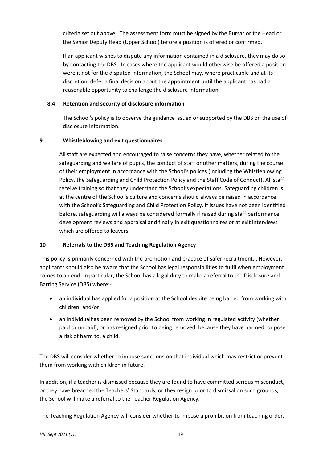criteria set out above. The assessment form must be signed by the Bursar or the Head or the Senior Deputy Head (Upper School) before a position is offered or confirmed.

If an applicant wishes to dispute any information contained in a disclosure, they may do so by contacting the DBS. In cases where the applicant would otherwise be offered a position were it not for the disputed information, the School may, where practicable and at its discretion, defer a final decision about the appointment until the applicant has had a reasonable opportunity to challenge the disclosure information.

# **8.4 Retention and security of disclosure information**

The School's policy is to observe the guidance issued or supported by the DBS on the use of disclosure information.

# **9 Whistleblowing and exit questionnaires**

All staff are expected and encouraged to raise concerns they have, whether related to the safeguarding and welfare of pupils, the conduct of staff or other matters, during the course of their employment in accordance with the School's polices (including the Whistleblowing Policy, the Safeguarding and Child Protection Policy and the Staff Code of Conduct). All staff receive training so that they understand the School's expectations. Safeguarding children is at the centre of the School's culture and concerns should always be raised in accordance with the School's Safeguarding and Child Protection Policy. If issues have not been identified before, safeguarding will always be considered formally if raised during staff performance development reviews and appraisal and finally in exit questionnaires or at exit interviews which are offered to leavers.

# **10 Referrals to the DBS and Teaching Regulation Agency**

This policy is primarily concerned with the promotion and practice of safer recruitment. . However, applicants should also be aware that the School has legal responsibilities to fulfil when employment comes to an end. In particular, the School has a legal duty to make a referral to the Disclosure and Barring Service (DBS) where:-

- an individual has applied for a position at the School despite being barred from working with children; and/or
- an individualhas been removed by the School from working in regulated activity (whether paid or unpaid), or has resigned prior to being removed, because they have harmed, or pose a risk of harm to, a child.

The DBS will consider whether to impose sanctions on that individual which may restrict or prevent them from working with children in future.

In addition, if a teacher is dismissed because they are found to have committed serious misconduct, or they have breached the Teachers' Standards, or they resign prior to dismissal on such grounds, the School will make a referral to the Teacher Regulation Agency.

The Teaching Regulation Agency will consider whether to impose a prohibition from teaching order.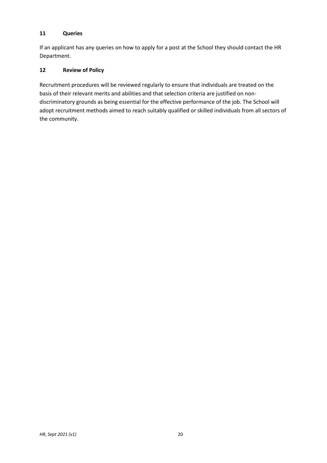# **11 Queries**

If an applicant has any queries on how to apply for a post at the School they should contact the HR Department.

# **12 Review of Policy**

Recruitment procedures will be reviewed regularly to ensure that individuals are treated on the basis of their relevant merits and abilities and that selection criteria are justified on nondiscriminatory grounds as being essential for the effective performance of the job. The School will adopt recruitment methods aimed to reach suitably qualified or skilled individuals from all sectors of the community.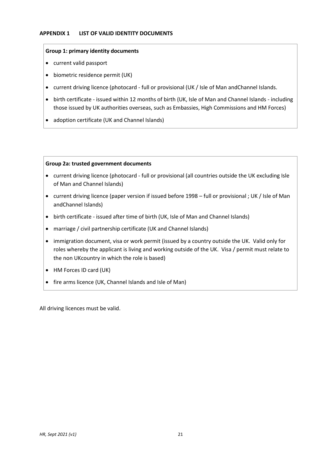# **APPENDIX 1 LIST OF VALID IDENTITY DOCUMENTS**

#### **Group 1: primary identity documents**

- current valid passport
- biometric residence permit (UK)
- current driving licence (photocard full or provisional (UK / Isle of Man andChannel Islands.
- birth certificate issued within 12 months of birth (UK, Isle of Man and Channel Islands including those issued by UK authorities overseas, such as Embassies, High Commissions and HM Forces)
- adoption certificate (UK and Channel Islands)

#### **Group 2a: trusted government documents**

- current driving licence (photocard full or provisional (all countries outside the UK excluding Isle of Man and Channel Islands)
- current driving licence (paper version if issued before 1998 full or provisional ; UK / Isle of Man andChannel Islands)
- birth certificate issued after time of birth (UK, Isle of Man and Channel Islands)
- marriage / civil partnership certificate (UK and Channel Islands)
- immigration document, visa or work permit (issued by a country outside the UK. Valid only for roles whereby the applicant is living and working outside of the UK. Visa / permit must relate to the non UKcountry in which the role is based)
- HM Forces ID card (UK)
- fire arms licence (UK, Channel Islands and Isle of Man)

All driving licences must be valid.